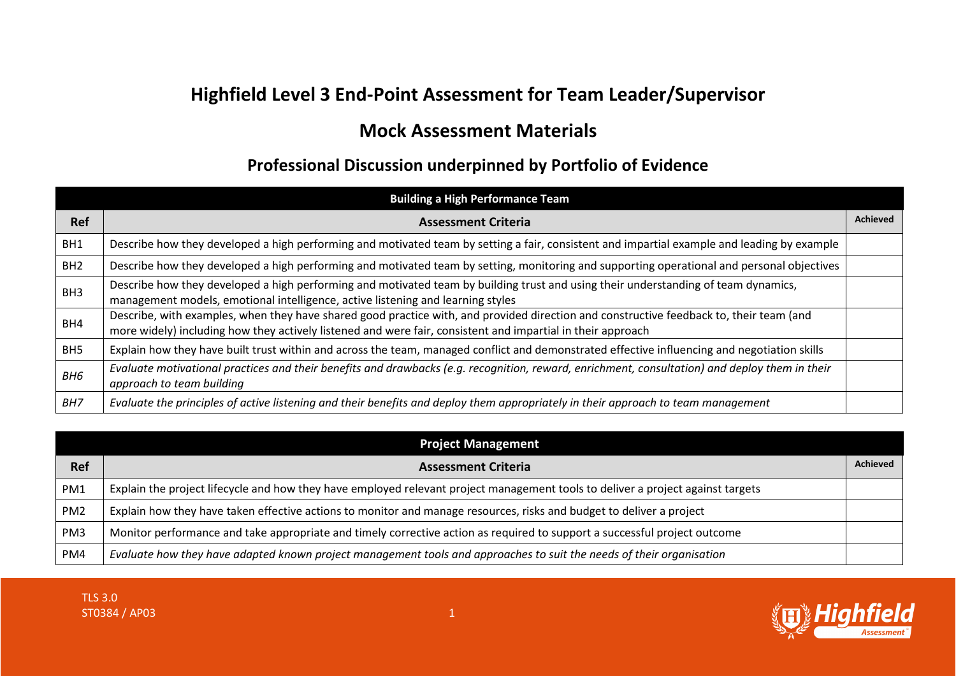## **Highfield Level 3 End-Point Assessment for Team Leader/Supervisor**

## **Mock Assessment Materials**

## **Professional Discussion underpinned by Portfolio of Evidence**

| <b>Building a High Performance Team</b> |                                                                                                                                                                                                                                                        |                 |  |  |
|-----------------------------------------|--------------------------------------------------------------------------------------------------------------------------------------------------------------------------------------------------------------------------------------------------------|-----------------|--|--|
| <b>Ref</b>                              | <b>Assessment Criteria</b>                                                                                                                                                                                                                             | <b>Achieved</b> |  |  |
| BH1                                     | Describe how they developed a high performing and motivated team by setting a fair, consistent and impartial example and leading by example                                                                                                            |                 |  |  |
| BH <sub>2</sub>                         | Describe how they developed a high performing and motivated team by setting, monitoring and supporting operational and personal objectives                                                                                                             |                 |  |  |
| BH <sub>3</sub>                         | Describe how they developed a high performing and motivated team by building trust and using their understanding of team dynamics,<br>management models, emotional intelligence, active listening and learning styles                                  |                 |  |  |
| BH4                                     | Describe, with examples, when they have shared good practice with, and provided direction and constructive feedback to, their team (and<br>more widely) including how they actively listened and were fair, consistent and impartial in their approach |                 |  |  |
| BH <sub>5</sub>                         | Explain how they have built trust within and across the team, managed conflict and demonstrated effective influencing and negotiation skills                                                                                                           |                 |  |  |
| BH <sub>6</sub>                         | Evaluate motivational practices and their benefits and drawbacks (e.g. recognition, reward, enrichment, consultation) and deploy them in their<br>approach to team building                                                                            |                 |  |  |
| BH7                                     | Evaluate the principles of active listening and their benefits and deploy them appropriately in their approach to team management                                                                                                                      |                 |  |  |

|                 | <b>Project Management</b>                                                                                                       |                 |
|-----------------|---------------------------------------------------------------------------------------------------------------------------------|-----------------|
| <b>Ref</b>      | <b>Assessment Criteria</b>                                                                                                      | <b>Achieved</b> |
| PM <sub>1</sub> | Explain the project lifecycle and how they have employed relevant project management tools to deliver a project against targets |                 |
| PM <sub>2</sub> | Explain how they have taken effective actions to monitor and manage resources, risks and budget to deliver a project            |                 |
| PM <sub>3</sub> | Monitor performance and take appropriate and timely corrective action as required to support a successful project outcome       |                 |
| PM4             | Evaluate how they have adapted known project management tools and approaches to suit the needs of their organisation            |                 |